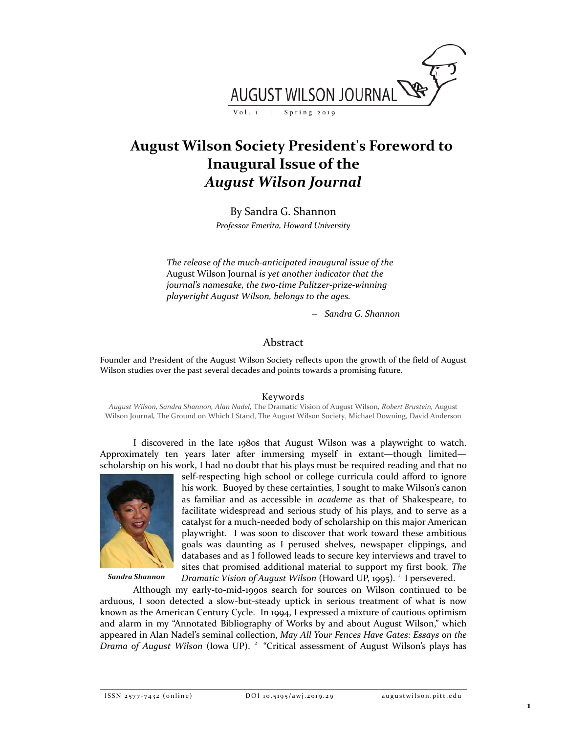

# **August Wilson Society President's Foreword to Inaugural Issue of the**  *August Wilson Journal*

By Sandra G. Shannon

*Professor Emerita, Howard University*

*The release of the much-anticipated inaugural issue of the*  August Wilson Journal *is yet another indicator that the journal's namesake, the two-time Pulitzer-prize-winning playwright August Wilson, belongs to the ages.* 

− *Sandra G. Shannon*

## Abstract

Founder and President of the August Wilson Society reflects upon the growth of the field of August Wilson studies over the past several decades and points towards a promising future.

### Keywords

*August Wilson, Sandra Shannon, Alan Nadel,* The Dramatic Vision of August Wilson*, Robert Brustein,* August Wilson Journal*,* The Ground on Which I Stand, The August Wilson Society, Michael Downing, David Anderson

I discovered in the late 1980s that August Wilson was a playwright to watch. Approximately ten years later after immersing myself in extant—though limited scholarship on his work, I had no doubt that his plays must be required reading and that no



*Sandra Shannon*

self-respecting high school or college curricula could afford to ignore his work. Buoyed by these certainties, I sought to make Wilson's canon as familiar and as accessible in *academe* as that of Shakespeare, to facilitate widespread and serious study of his plays, and to serve as a catalyst for a much-needed body of scholarship on this major American playwright. I was soon to discover that work toward these ambitious goals was daunting as I perused shelves, newspaper clippings, and databases and as I followed leads to secure key interviews and travel to sites that promised additional material to support my first book, *The* Dramatic Vision of August Wilson (Howard UP, [1](#page-2-0)995).<sup>1</sup> I persevered.

Although my early-to-mid-1990s search for sources on Wilson continued to be arduous, I soon detected a slow-but-steady uptick in serious treatment of what is now known as the American Century Cycle. In 1994, I expressed a mixture of cautious optimism and alarm in my "Annotated Bibliography of Works by and about August Wilson," which appeared in Alan Nadel's seminal collection, *May All Your Fences Have Gates: Essays on the*  Drama of August Wilson (Iowa UP).<sup>[2](#page-2-1)</sup> "Critical assessment of August Wilson's plays has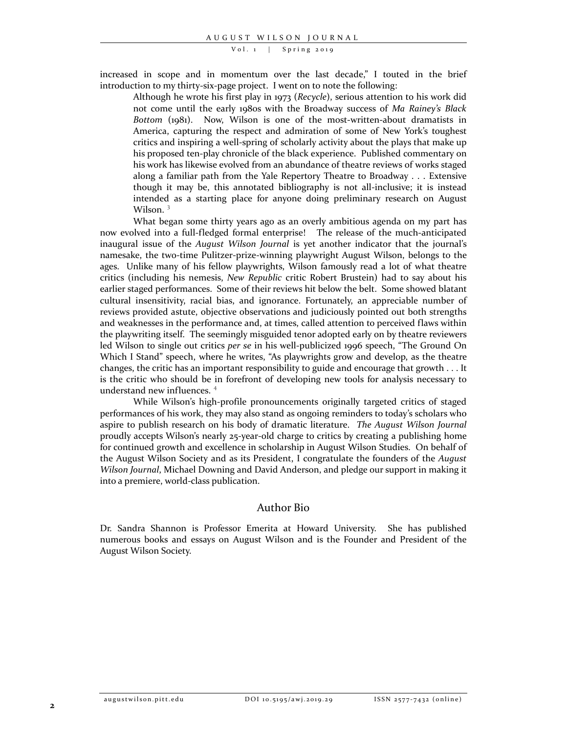#### Vol. 1 | Spring 2019

increased in scope and in momentum over the last decade," I touted in the brief introduction to my thirty-six-page project. I went on to note the following:

Although he wrote his first play in 1973 (*Recycle*), serious attention to his work did not come until the early 1980s with the Broadway success of *Ma Rainey's Black Bottom* (1981). Now, Wilson is one of the most-written-about dramatists in America, capturing the respect and admiration of some of New York's toughest critics and inspiring a well-spring of scholarly activity about the plays that make up his proposed ten-play chronicle of the black experience. Published commentary on his work has likewise evolved from an abundance of theatre reviews of works staged along a familiar path from the Yale Repertory Theatre to Broadway . . . Extensive though it may be, this annotated bibliography is not all-inclusive; it is instead intended as a starting place for anyone doing preliminary research on August Wilson.<sup>[3](#page-2-2)</sup>

What began some thirty years ago as an overly ambitious agenda on my part has now evolved into a full-fledged formal enterprise! The release of the much-anticipated inaugural issue of the *August Wilson Journal* is yet another indicator that the journal's namesake, the two-time Pulitzer-prize-winning playwright August Wilson, belongs to the ages. Unlike many of his fellow playwrights, Wilson famously read a lot of what theatre critics (including his nemesis, *New Republic* critic Robert Brustein) had to say about his earlier staged performances. Some of their reviews hit below the belt. Some showed blatant cultural insensitivity, racial bias, and ignorance. Fortunately, an appreciable number of reviews provided astute, objective observations and judiciously pointed out both strengths and weaknesses in the performance and, at times, called attention to perceived flaws within the playwriting itself. The seemingly misguided tenor adopted early on by theatre reviewers led Wilson to single out critics *per se* in his well-publicized 1996 speech, "The Ground On Which I Stand" speech, where he writes, "As playwrights grow and develop, as the theatre changes, the critic has an important responsibility to guide and encourage that growth . . . It is the critic who should be in forefront of developing new tools for analysis necessary to understand new influences. [4](#page-2-3)

While Wilson's high-profile pronouncements originally targeted critics of staged performances of his work, they may also stand as ongoing reminders to today's scholars who aspire to publish research on his body of dramatic literature. *The August Wilson Journal* proudly accepts Wilson's nearly 25-year-old charge to critics by creating a publishing home for continued growth and excellence in scholarship in August Wilson Studies. On behalf of the August Wilson Society and as its President, I congratulate the founders of the *August Wilson Journal*, Michael Downing and David Anderson, and pledge our support in making it into a premiere, world-class publication.

## Author Bio

Dr. Sandra Shannon is Professor Emerita at Howard University. She has published numerous books and essays on August Wilson and is the Founder and President of the August Wilson Society.